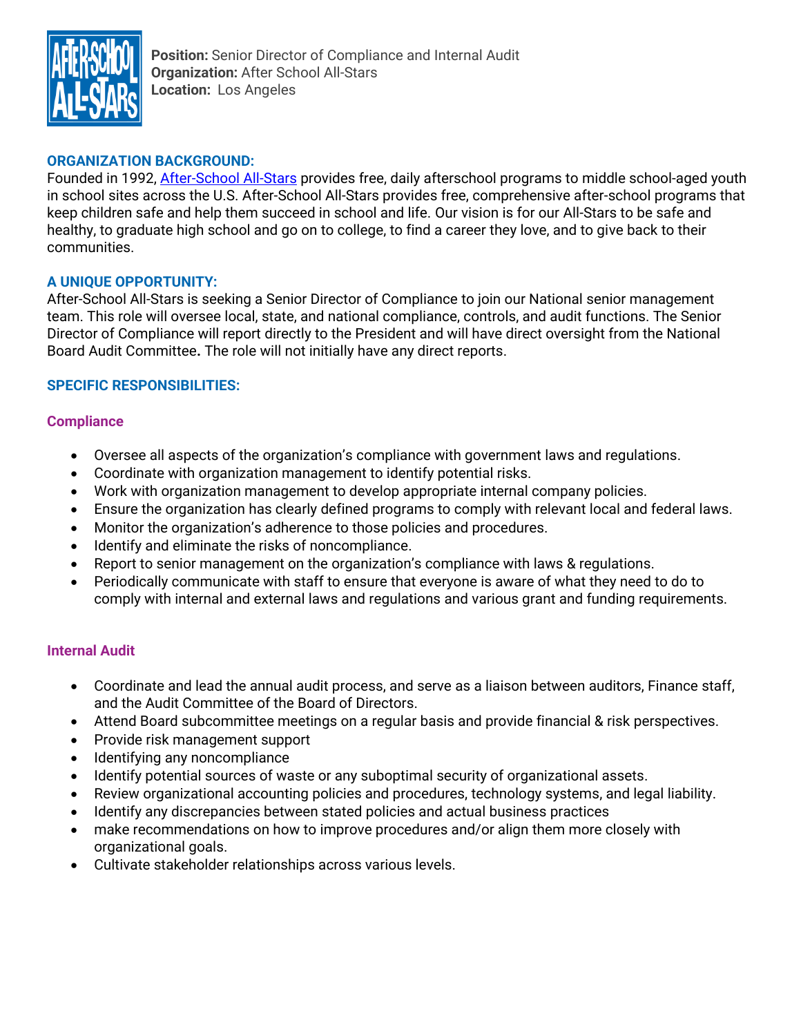

**Position:** Senior Director of Compliance and Internal Audit **Organization:** After School All-Stars **Location:** Los Angeles

### **ORGANIZATION BACKGROUND:**

Founded in 1992, [After-School All-Stars](http://www.afterschoolallstars.org/) provides free, daily afterschool programs to middle school-aged youth in school sites across the U.S. After-School All-Stars provides free, comprehensive after-school programs that keep children safe and help them succeed in school and life. Our vision is for our All-Stars to be safe and healthy, to graduate high school and go on to college, to find a career they love, and to give back to their communities.

### **A UNIQUE OPPORTUNITY:**

After-School All-Stars is seeking a Senior Director of Compliance to join our National senior management team. This role will oversee local, state, and national compliance, controls, and audit functions. The Senior Director of Compliance will report directly to the President and will have direct oversight from the National Board Audit Committee**.** The role will not initially have any direct reports.

### **SPECIFIC RESPONSIBILITIES:**

#### **Compliance**

- Oversee all aspects of the organization's compliance with government laws and regulations.
- Coordinate with organization management to identify potential risks.
- Work with organization management to develop appropriate internal company policies.
- Ensure the organization has clearly defined programs to comply with relevant local and federal laws.
- Monitor the organization's adherence to those policies and procedures.
- Identify and eliminate the risks of noncompliance.
- Report to senior management on the organization's compliance with laws & regulations.
- Periodically communicate with staff to ensure that everyone is aware of what they need to do to comply with internal and external laws and regulations and various grant and funding requirements.

#### **Internal Audit**

- Coordinate and lead the annual audit process, and serve as a liaison between auditors, Finance staff, and the Audit Committee of the Board of Directors.
- Attend Board subcommittee meetings on a regular basis and provide financial & risk perspectives.
- Provide risk management support
- Identifying any noncompliance
- Identify potential sources of waste or any suboptimal security of organizational assets.
- Review organizational accounting policies and procedures, technology systems, and legal liability.
- Identify any discrepancies between stated policies and actual business practices
- make recommendations on how to improve procedures and/or align them more closely with organizational goals.
- Cultivate stakeholder relationships across various levels.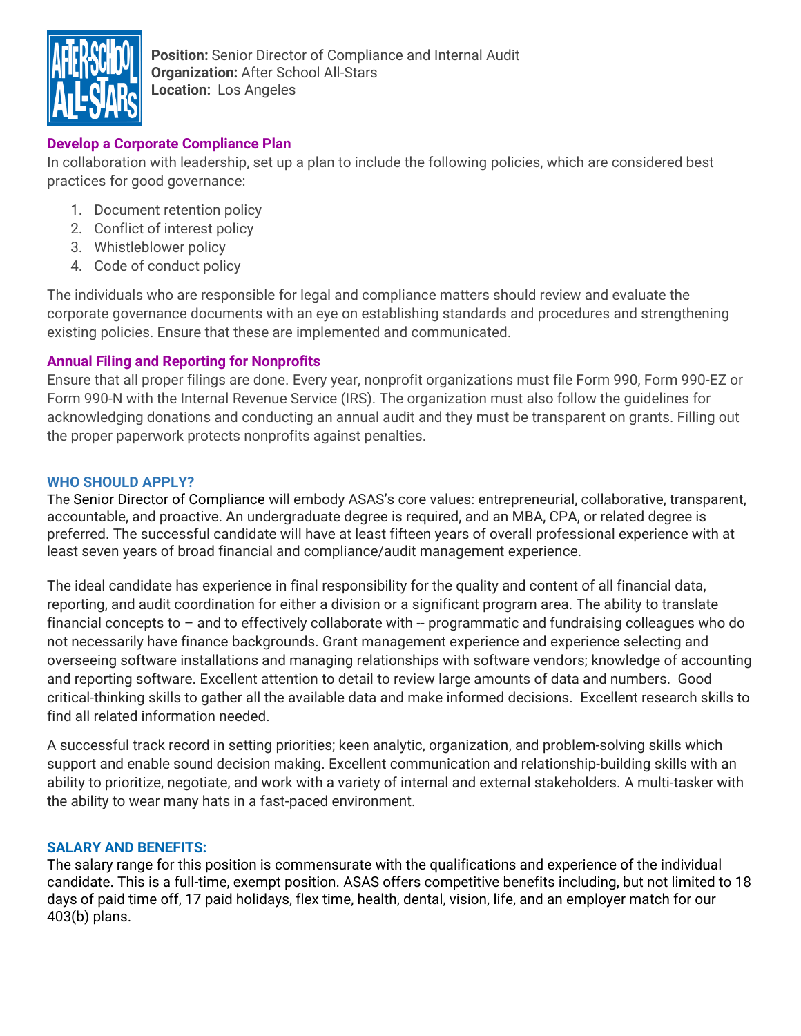

**Position:** Senior Director of Compliance and Internal Audit **Organization:** After School All-Stars **Location:** Los Angeles

# **Develop a Corporate Compliance Plan**

In collaboration with leadership, set up a plan to include the following policies, which are considered best practices for good governance:

- 1. Document retention policy
- 2. Conflict of interest policy
- 3. Whistleblower policy
- 4. Code of conduct policy

The individuals who are responsible for legal and compliance matters should review and evaluate the corporate governance documents with an eye on establishing standards and procedures and strengthening existing policies. Ensure that these are implemented and communicated.

### **Annual Filing and Reporting for Nonprofits**

Ensure that all proper filings are done. Every year, nonprofit organizations must file Form 990, Form 990-EZ or Form 990-N with the Internal Revenue Service (IRS). The organization must also follow the guidelines for acknowledging donations and conducting an annual audit and they must be transparent on grants. Filling out the proper paperwork protects nonprofits against penalties.

### **WHO SHOULD APPLY?**

The Senior Director of Compliance will embody ASAS's core values: entrepreneurial, collaborative, transparent, accountable, and proactive. An undergraduate degree is required, and an MBA, CPA, or related degree is preferred. The successful candidate will have at least fifteen years of overall professional experience with at least seven years of broad financial and compliance/audit management experience.

The ideal candidate has experience in final responsibility for the quality and content of all financial data, reporting, and audit coordination for either a division or a significant program area. The ability to translate financial concepts to  $-$  and to effectively collaborate with  $-$  programmatic and fundraising colleagues who do not necessarily have finance backgrounds. Grant management experience and experience selecting and overseeing software installations and managing relationships with software vendors; knowledge of accounting and reporting software. Excellent attention to detail to review large amounts of data and numbers. Good critical-thinking skills to gather all the available data and make informed decisions. Excellent research skills to find all related information needed.

A successful track record in setting priorities; keen analytic, organization, and problem-solving skills which support and enable sound decision making. Excellent communication and relationship-building skills with an ability to prioritize, negotiate, and work with a variety of internal and external stakeholders. A multi-tasker with the ability to wear many hats in a fast-paced environment.

### **SALARY AND BENEFITS:**

The salary range for this position is commensurate with the qualifications and experience of the individual candidate. This is a full-time, exempt position. ASAS offers competitive benefits including, but not limited to 18 days of paid time off, 17 paid holidays, flex time, health, dental, vision, life, and an employer match for our 403(b) plans.